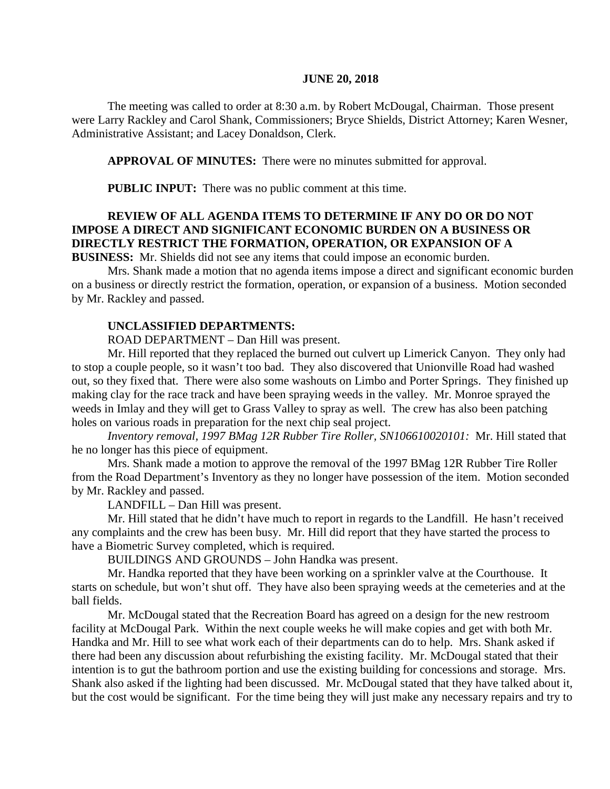#### **JUNE 20, 2018**

The meeting was called to order at 8:30 a.m. by Robert McDougal, Chairman. Those present were Larry Rackley and Carol Shank, Commissioners; Bryce Shields, District Attorney; Karen Wesner, Administrative Assistant; and Lacey Donaldson, Clerk.

**APPROVAL OF MINUTES:** There were no minutes submitted for approval.

 **PUBLIC INPUT:** There was no public comment at this time.

# **REVIEW OF ALL AGENDA ITEMS TO DETERMINE IF ANY DO OR DO NOT IMPOSE A DIRECT AND SIGNIFICANT ECONOMIC BURDEN ON A BUSINESS OR DIRECTLY RESTRICT THE FORMATION, OPERATION, OR EXPANSION OF A**

**BUSINESS:** Mr. Shields did not see any items that could impose an economic burden.

Mrs. Shank made a motion that no agenda items impose a direct and significant economic burden on a business or directly restrict the formation, operation, or expansion of a business. Motion seconded by Mr. Rackley and passed.

#### **UNCLASSIFIED DEPARTMENTS:**

ROAD DEPARTMENT – Dan Hill was present.

Mr. Hill reported that they replaced the burned out culvert up Limerick Canyon. They only had to stop a couple people, so it wasn't too bad. They also discovered that Unionville Road had washed out, so they fixed that. There were also some washouts on Limbo and Porter Springs. They finished up making clay for the race track and have been spraying weeds in the valley. Mr. Monroe sprayed the weeds in Imlay and they will get to Grass Valley to spray as well. The crew has also been patching holes on various roads in preparation for the next chip seal project.

*Inventory removal, 1997 BMag 12R Rubber Tire Roller, SN106610020101:* Mr. Hill stated that he no longer has this piece of equipment.

Mrs. Shank made a motion to approve the removal of the 1997 BMag 12R Rubber Tire Roller from the Road Department's Inventory as they no longer have possession of the item. Motion seconded by Mr. Rackley and passed.

LANDFILL – Dan Hill was present.

Mr. Hill stated that he didn't have much to report in regards to the Landfill. He hasn't received any complaints and the crew has been busy. Mr. Hill did report that they have started the process to have a Biometric Survey completed, which is required.

BUILDINGS AND GROUNDS – John Handka was present.

Mr. Handka reported that they have been working on a sprinkler valve at the Courthouse. It starts on schedule, but won't shut off. They have also been spraying weeds at the cemeteries and at the ball fields.

Mr. McDougal stated that the Recreation Board has agreed on a design for the new restroom facility at McDougal Park. Within the next couple weeks he will make copies and get with both Mr. Handka and Mr. Hill to see what work each of their departments can do to help. Mrs. Shank asked if there had been any discussion about refurbishing the existing facility. Mr. McDougal stated that their intention is to gut the bathroom portion and use the existing building for concessions and storage. Mrs. Shank also asked if the lighting had been discussed. Mr. McDougal stated that they have talked about it, but the cost would be significant. For the time being they will just make any necessary repairs and try to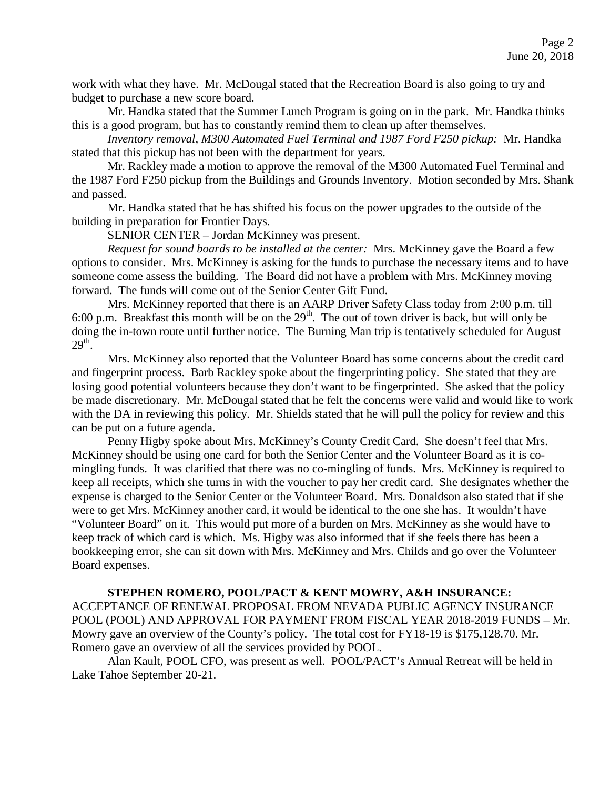work with what they have. Mr. McDougal stated that the Recreation Board is also going to try and budget to purchase a new score board.

Mr. Handka stated that the Summer Lunch Program is going on in the park. Mr. Handka thinks this is a good program, but has to constantly remind them to clean up after themselves.

*Inventory removal, M300 Automated Fuel Terminal and 1987 Ford F250 pickup:* Mr. Handka stated that this pickup has not been with the department for years.

Mr. Rackley made a motion to approve the removal of the M300 Automated Fuel Terminal and the 1987 Ford F250 pickup from the Buildings and Grounds Inventory. Motion seconded by Mrs. Shank and passed.

Mr. Handka stated that he has shifted his focus on the power upgrades to the outside of the building in preparation for Frontier Days.

SENIOR CENTER – Jordan McKinney was present.

*Request for sound boards to be installed at the center:* Mrs. McKinney gave the Board a few options to consider. Mrs. McKinney is asking for the funds to purchase the necessary items and to have someone come assess the building. The Board did not have a problem with Mrs. McKinney moving forward. The funds will come out of the Senior Center Gift Fund.

Mrs. McKinney reported that there is an AARP Driver Safety Class today from 2:00 p.m. till 6:00 p.m. Breakfast this month will be on the  $29<sup>th</sup>$ . The out of town driver is back, but will only be doing the in-town route until further notice. The Burning Man trip is tentatively scheduled for August  $29<sup>th</sup>$ .

Mrs. McKinney also reported that the Volunteer Board has some concerns about the credit card and fingerprint process. Barb Rackley spoke about the fingerprinting policy. She stated that they are losing good potential volunteers because they don't want to be fingerprinted. She asked that the policy be made discretionary. Mr. McDougal stated that he felt the concerns were valid and would like to work with the DA in reviewing this policy. Mr. Shields stated that he will pull the policy for review and this can be put on a future agenda.

Penny Higby spoke about Mrs. McKinney's County Credit Card. She doesn't feel that Mrs. McKinney should be using one card for both the Senior Center and the Volunteer Board as it is comingling funds. It was clarified that there was no co-mingling of funds. Mrs. McKinney is required to keep all receipts, which she turns in with the voucher to pay her credit card. She designates whether the expense is charged to the Senior Center or the Volunteer Board. Mrs. Donaldson also stated that if she were to get Mrs. McKinney another card, it would be identical to the one she has. It wouldn't have "Volunteer Board" on it. This would put more of a burden on Mrs. McKinney as she would have to keep track of which card is which. Ms. Higby was also informed that if she feels there has been a bookkeeping error, she can sit down with Mrs. McKinney and Mrs. Childs and go over the Volunteer Board expenses.

#### **STEPHEN ROMERO, POOL/PACT & KENT MOWRY, A&H INSURANCE:**

ACCEPTANCE OF RENEWAL PROPOSAL FROM NEVADA PUBLIC AGENCY INSURANCE POOL (POOL) AND APPROVAL FOR PAYMENT FROM FISCAL YEAR 2018-2019 FUNDS – Mr. Mowry gave an overview of the County's policy. The total cost for FY18-19 is \$175,128.70. Mr. Romero gave an overview of all the services provided by POOL.

Alan Kault, POOL CFO, was present as well. POOL/PACT's Annual Retreat will be held in Lake Tahoe September 20-21.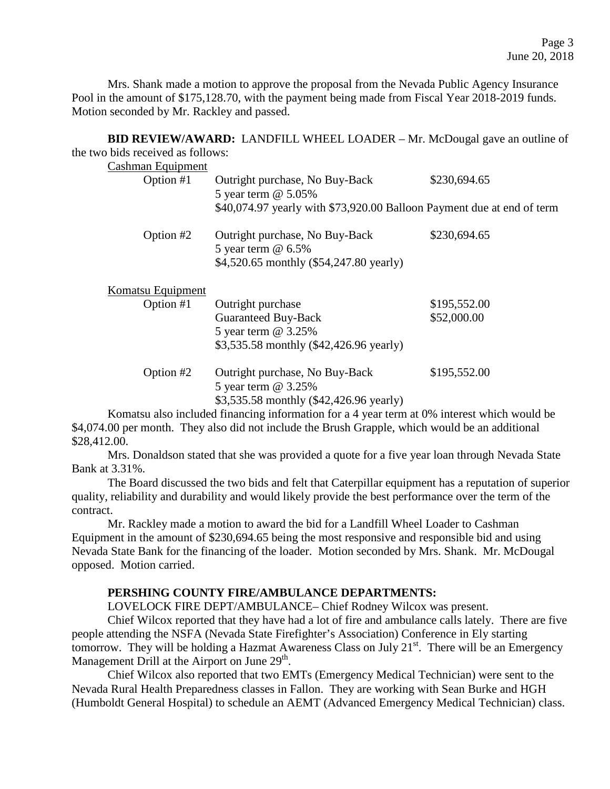Mrs. Shank made a motion to approve the proposal from the Nevada Public Agency Insurance Pool in the amount of \$175,128.70, with the payment being made from Fiscal Year 2018-2019 funds. Motion seconded by Mr. Rackley and passed.

**BID REVIEW/AWARD:** LANDFILL WHEEL LOADER – Mr. McDougal gave an outline of the two bids received as follows: Cashman Equipment Option #1 Outright purchase, No Buy-Back \$230,694.65 5 year term @ 5.05% \$40,074.97 yearly with \$73,920.00 Balloon Payment due at end of term Option #2 Outright purchase, No Buy-Back \$230,694.65 5 year term @ 6.5% \$4,520.65 monthly (\$54,247.80 yearly) Komatsu Equipment Option #1 Outright purchase \$195,552.00 Guaranteed Buy-Back \$52,000.00 5 year term @ 3.25% \$3,535.58 monthly (\$42,426.96 yearly) Option #2 Outright purchase, No Buy-Back \$195,552.00 5 year term @ 3.25% \$3,535.58 monthly (\$42,426.96 yearly)

Komatsu also included financing information for a 4 year term at 0% interest which would be \$4,074.00 per month. They also did not include the Brush Grapple, which would be an additional \$28,412.00.

Mrs. Donaldson stated that she was provided a quote for a five year loan through Nevada State Bank at 3.31%.

The Board discussed the two bids and felt that Caterpillar equipment has a reputation of superior quality, reliability and durability and would likely provide the best performance over the term of the contract.

Mr. Rackley made a motion to award the bid for a Landfill Wheel Loader to Cashman Equipment in the amount of \$230,694.65 being the most responsive and responsible bid and using Nevada State Bank for the financing of the loader. Motion seconded by Mrs. Shank. Mr. McDougal opposed. Motion carried.

#### **PERSHING COUNTY FIRE/AMBULANCE DEPARTMENTS:**

LOVELOCK FIRE DEPT/AMBULANCE– Chief Rodney Wilcox was present.

Chief Wilcox reported that they have had a lot of fire and ambulance calls lately. There are five people attending the NSFA (Nevada State Firefighter's Association) Conference in Ely starting tomorrow. They will be holding a Hazmat Awareness Class on July  $21<sup>st</sup>$ . There will be an Emergency Management Drill at the Airport on June  $29<sup>th</sup>$ .

Chief Wilcox also reported that two EMTs (Emergency Medical Technician) were sent to the Nevada Rural Health Preparedness classes in Fallon. They are working with Sean Burke and HGH (Humboldt General Hospital) to schedule an AEMT (Advanced Emergency Medical Technician) class.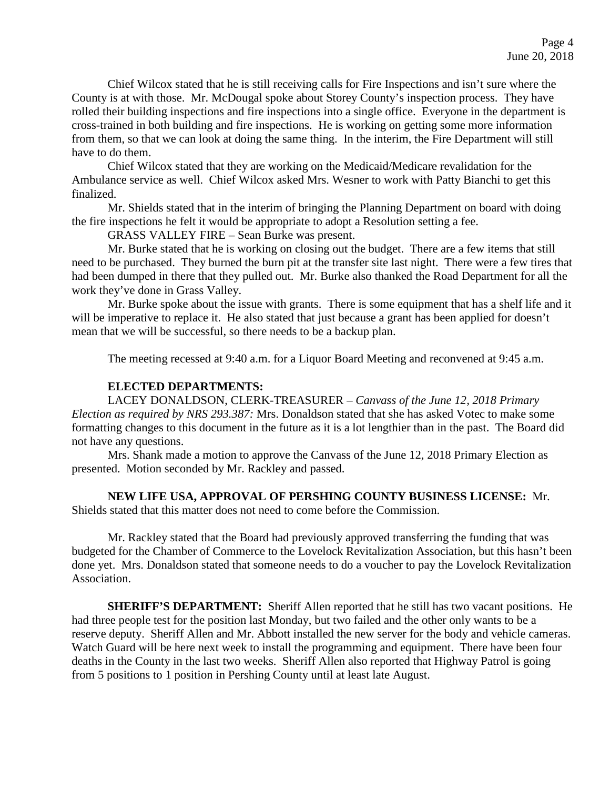Chief Wilcox stated that he is still receiving calls for Fire Inspections and isn't sure where the County is at with those. Mr. McDougal spoke about Storey County's inspection process. They have rolled their building inspections and fire inspections into a single office. Everyone in the department is cross-trained in both building and fire inspections. He is working on getting some more information from them, so that we can look at doing the same thing. In the interim, the Fire Department will still have to do them.

Chief Wilcox stated that they are working on the Medicaid/Medicare revalidation for the Ambulance service as well. Chief Wilcox asked Mrs. Wesner to work with Patty Bianchi to get this finalized.

Mr. Shields stated that in the interim of bringing the Planning Department on board with doing the fire inspections he felt it would be appropriate to adopt a Resolution setting a fee.

GRASS VALLEY FIRE – Sean Burke was present.

Mr. Burke stated that he is working on closing out the budget. There are a few items that still need to be purchased. They burned the burn pit at the transfer site last night. There were a few tires that had been dumped in there that they pulled out. Mr. Burke also thanked the Road Department for all the work they've done in Grass Valley.

Mr. Burke spoke about the issue with grants. There is some equipment that has a shelf life and it will be imperative to replace it. He also stated that just because a grant has been applied for doesn't mean that we will be successful, so there needs to be a backup plan.

The meeting recessed at 9:40 a.m. for a Liquor Board Meeting and reconvened at 9:45 a.m.

#### **ELECTED DEPARTMENTS:**

LACEY DONALDSON, CLERK-TREASURER – *Canvass of the June 12, 2018 Primary Election as required by NRS 293.387:* Mrs. Donaldson stated that she has asked Votec to make some formatting changes to this document in the future as it is a lot lengthier than in the past. The Board did not have any questions.

Mrs. Shank made a motion to approve the Canvass of the June 12, 2018 Primary Election as presented. Motion seconded by Mr. Rackley and passed.

**NEW LIFE USA, APPROVAL OF PERSHING COUNTY BUSINESS LICENSE:** Mr.

Shields stated that this matter does not need to come before the Commission.

Mr. Rackley stated that the Board had previously approved transferring the funding that was budgeted for the Chamber of Commerce to the Lovelock Revitalization Association, but this hasn't been done yet. Mrs. Donaldson stated that someone needs to do a voucher to pay the Lovelock Revitalization Association.

**SHERIFF'S DEPARTMENT:** Sheriff Allen reported that he still has two vacant positions. He had three people test for the position last Monday, but two failed and the other only wants to be a reserve deputy. Sheriff Allen and Mr. Abbott installed the new server for the body and vehicle cameras. Watch Guard will be here next week to install the programming and equipment. There have been four deaths in the County in the last two weeks. Sheriff Allen also reported that Highway Patrol is going from 5 positions to 1 position in Pershing County until at least late August.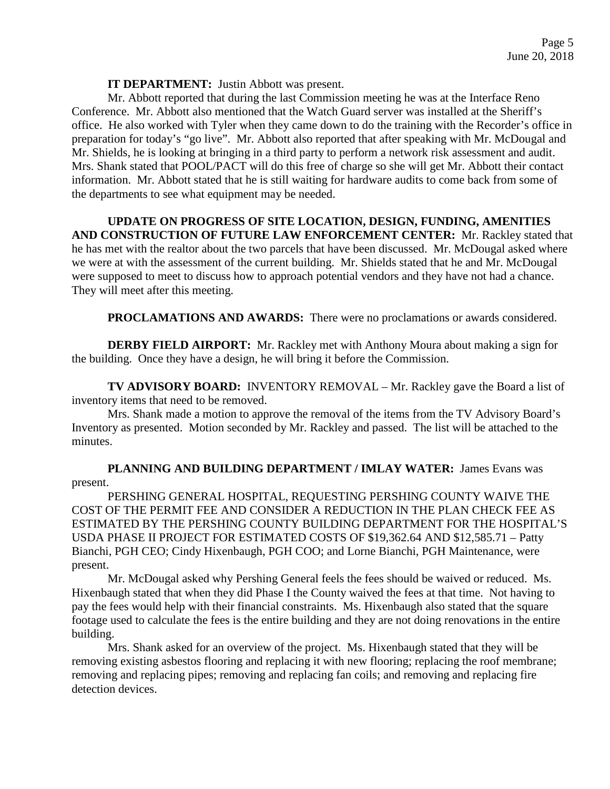**IT DEPARTMENT:** Justin Abbott was present.

Mr. Abbott reported that during the last Commission meeting he was at the Interface Reno Conference. Mr. Abbott also mentioned that the Watch Guard server was installed at the Sheriff's office. He also worked with Tyler when they came down to do the training with the Recorder's office in preparation for today's "go live". Mr. Abbott also reported that after speaking with Mr. McDougal and Mr. Shields, he is looking at bringing in a third party to perform a network risk assessment and audit. Mrs. Shank stated that POOL/PACT will do this free of charge so she will get Mr. Abbott their contact information. Mr. Abbott stated that he is still waiting for hardware audits to come back from some of the departments to see what equipment may be needed.

**UPDATE ON PROGRESS OF SITE LOCATION, DESIGN, FUNDING, AMENITIES AND CONSTRUCTION OF FUTURE LAW ENFORCEMENT CENTER:** Mr. Rackley stated that he has met with the realtor about the two parcels that have been discussed. Mr. McDougal asked where we were at with the assessment of the current building. Mr. Shields stated that he and Mr. McDougal were supposed to meet to discuss how to approach potential vendors and they have not had a chance. They will meet after this meeting.

**PROCLAMATIONS AND AWARDS:** There were no proclamations or awards considered.

**DERBY FIELD AIRPORT:** Mr. Rackley met with Anthony Moura about making a sign for the building. Once they have a design, he will bring it before the Commission.

**TV ADVISORY BOARD:** INVENTORY REMOVAL – Mr. Rackley gave the Board a list of inventory items that need to be removed.

Mrs. Shank made a motion to approve the removal of the items from the TV Advisory Board's Inventory as presented. Motion seconded by Mr. Rackley and passed. The list will be attached to the minutes.

**PLANNING AND BUILDING DEPARTMENT / IMLAY WATER:** James Evans was present.

PERSHING GENERAL HOSPITAL, REQUESTING PERSHING COUNTY WAIVE THE COST OF THE PERMIT FEE AND CONSIDER A REDUCTION IN THE PLAN CHECK FEE AS ESTIMATED BY THE PERSHING COUNTY BUILDING DEPARTMENT FOR THE HOSPITAL'S USDA PHASE II PROJECT FOR ESTIMATED COSTS OF \$19,362.64 AND \$12,585.71 – Patty Bianchi, PGH CEO; Cindy Hixenbaugh, PGH COO; and Lorne Bianchi, PGH Maintenance, were present.

Mr. McDougal asked why Pershing General feels the fees should be waived or reduced. Ms. Hixenbaugh stated that when they did Phase I the County waived the fees at that time. Not having to pay the fees would help with their financial constraints. Ms. Hixenbaugh also stated that the square footage used to calculate the fees is the entire building and they are not doing renovations in the entire building.

Mrs. Shank asked for an overview of the project. Ms. Hixenbaugh stated that they will be removing existing asbestos flooring and replacing it with new flooring; replacing the roof membrane; removing and replacing pipes; removing and replacing fan coils; and removing and replacing fire detection devices.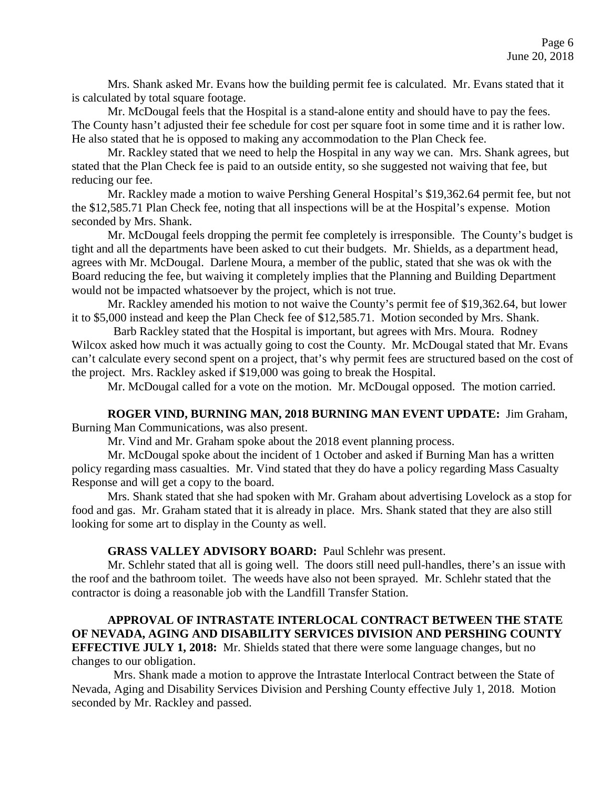Mrs. Shank asked Mr. Evans how the building permit fee is calculated. Mr. Evans stated that it is calculated by total square footage.

Mr. McDougal feels that the Hospital is a stand-alone entity and should have to pay the fees. The County hasn't adjusted their fee schedule for cost per square foot in some time and it is rather low. He also stated that he is opposed to making any accommodation to the Plan Check fee.

Mr. Rackley stated that we need to help the Hospital in any way we can. Mrs. Shank agrees, but stated that the Plan Check fee is paid to an outside entity, so she suggested not waiving that fee, but reducing our fee.

Mr. Rackley made a motion to waive Pershing General Hospital's \$19,362.64 permit fee, but not the \$12,585.71 Plan Check fee, noting that all inspections will be at the Hospital's expense. Motion seconded by Mrs. Shank.

Mr. McDougal feels dropping the permit fee completely is irresponsible. The County's budget is tight and all the departments have been asked to cut their budgets. Mr. Shields, as a department head, agrees with Mr. McDougal. Darlene Moura, a member of the public, stated that she was ok with the Board reducing the fee, but waiving it completely implies that the Planning and Building Department would not be impacted whatsoever by the project, which is not true.

Mr. Rackley amended his motion to not waive the County's permit fee of \$19,362.64, but lower it to \$5,000 instead and keep the Plan Check fee of \$12,585.71. Motion seconded by Mrs. Shank.

 Barb Rackley stated that the Hospital is important, but agrees with Mrs. Moura. Rodney Wilcox asked how much it was actually going to cost the County. Mr. McDougal stated that Mr. Evans can't calculate every second spent on a project, that's why permit fees are structured based on the cost of the project. Mrs. Rackley asked if \$19,000 was going to break the Hospital.

Mr. McDougal called for a vote on the motion. Mr. McDougal opposed. The motion carried.

**ROGER VIND, BURNING MAN, 2018 BURNING MAN EVENT UPDATE:** Jim Graham, Burning Man Communications, was also present.

Mr. Vind and Mr. Graham spoke about the 2018 event planning process.

Mr. McDougal spoke about the incident of 1 October and asked if Burning Man has a written policy regarding mass casualties. Mr. Vind stated that they do have a policy regarding Mass Casualty Response and will get a copy to the board.

Mrs. Shank stated that she had spoken with Mr. Graham about advertising Lovelock as a stop for food and gas. Mr. Graham stated that it is already in place. Mrs. Shank stated that they are also still looking for some art to display in the County as well.

#### **GRASS VALLEY ADVISORY BOARD:** Paul Schlehr was present.

Mr. Schlehr stated that all is going well. The doors still need pull-handles, there's an issue with the roof and the bathroom toilet. The weeds have also not been sprayed. Mr. Schlehr stated that the contractor is doing a reasonable job with the Landfill Transfer Station.

#### **APPROVAL OF INTRASTATE INTERLOCAL CONTRACT BETWEEN THE STATE OF NEVADA, AGING AND DISABILITY SERVICES DIVISION AND PERSHING COUNTY EFFECTIVE JULY 1, 2018:** Mr. Shields stated that there were some language changes, but no

changes to our obligation.

 Mrs. Shank made a motion to approve the Intrastate Interlocal Contract between the State of Nevada, Aging and Disability Services Division and Pershing County effective July 1, 2018. Motion seconded by Mr. Rackley and passed.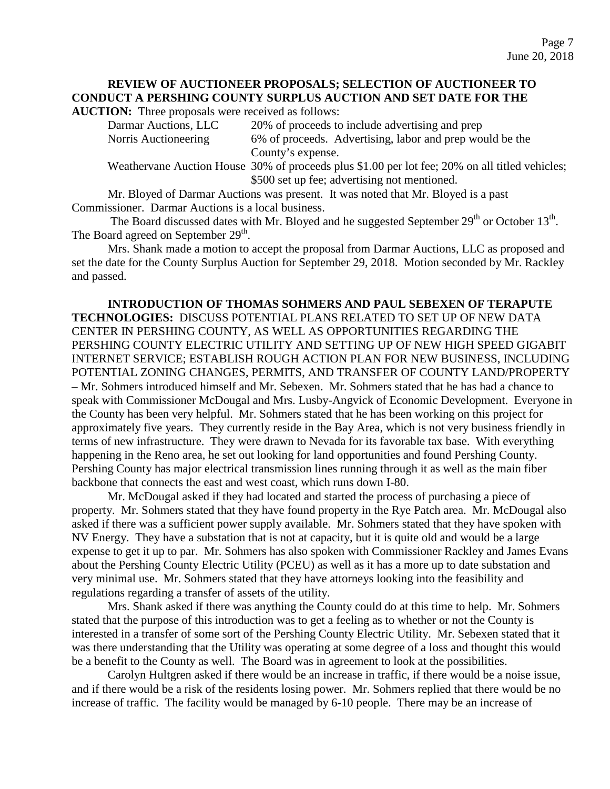# **REVIEW OF AUCTIONEER PROPOSALS; SELECTION OF AUCTIONEER TO CONDUCT A PERSHING COUNTY SURPLUS AUCTION AND SET DATE FOR THE**

**AUCTION:** Three proposals were received as follows:

| Darmar Auctions, LLC | 20% of proceeds to include advertising and prep                                                |
|----------------------|------------------------------------------------------------------------------------------------|
| Norris Auctioneering | 6% of proceeds. Advertising, labor and prep would be the                                       |
|                      | County's expense.                                                                              |
|                      | Weathervane Auction House 30% of proceeds plus \$1.00 per lot fee; 20% on all titled vehicles; |
|                      | \$500 set up fee; advertising not mentioned.                                                   |

Mr. Bloyed of Darmar Auctions was present. It was noted that Mr. Bloyed is a past Commissioner. Darmar Auctions is a local business.

The Board discussed dates with Mr. Bloyed and he suggested September  $29<sup>th</sup>$  or October 13<sup>th</sup>. The Board agreed on September 29<sup>th</sup>.

Mrs. Shank made a motion to accept the proposal from Darmar Auctions, LLC as proposed and set the date for the County Surplus Auction for September 29, 2018. Motion seconded by Mr. Rackley and passed.

 **INTRODUCTION OF THOMAS SOHMERS AND PAUL SEBEXEN OF TERAPUTE TECHNOLOGIES:** DISCUSS POTENTIAL PLANS RELATED TO SET UP OF NEW DATA CENTER IN PERSHING COUNTY, AS WELL AS OPPORTUNITIES REGARDING THE PERSHING COUNTY ELECTRIC UTILITY AND SETTING UP OF NEW HIGH SPEED GIGABIT INTERNET SERVICE; ESTABLISH ROUGH ACTION PLAN FOR NEW BUSINESS, INCLUDING POTENTIAL ZONING CHANGES, PERMITS, AND TRANSFER OF COUNTY LAND/PROPERTY – Mr. Sohmers introduced himself and Mr. Sebexen. Mr. Sohmers stated that he has had a chance to speak with Commissioner McDougal and Mrs. Lusby-Angvick of Economic Development. Everyone in the County has been very helpful. Mr. Sohmers stated that he has been working on this project for approximately five years. They currently reside in the Bay Area, which is not very business friendly in terms of new infrastructure. They were drawn to Nevada for its favorable tax base. With everything happening in the Reno area, he set out looking for land opportunities and found Pershing County. Pershing County has major electrical transmission lines running through it as well as the main fiber backbone that connects the east and west coast, which runs down I-80.

Mr. McDougal asked if they had located and started the process of purchasing a piece of property. Mr. Sohmers stated that they have found property in the Rye Patch area. Mr. McDougal also asked if there was a sufficient power supply available. Mr. Sohmers stated that they have spoken with NV Energy. They have a substation that is not at capacity, but it is quite old and would be a large expense to get it up to par. Mr. Sohmers has also spoken with Commissioner Rackley and James Evans about the Pershing County Electric Utility (PCEU) as well as it has a more up to date substation and very minimal use. Mr. Sohmers stated that they have attorneys looking into the feasibility and regulations regarding a transfer of assets of the utility.

Mrs. Shank asked if there was anything the County could do at this time to help. Mr. Sohmers stated that the purpose of this introduction was to get a feeling as to whether or not the County is interested in a transfer of some sort of the Pershing County Electric Utility. Mr. Sebexen stated that it was there understanding that the Utility was operating at some degree of a loss and thought this would be a benefit to the County as well. The Board was in agreement to look at the possibilities.

Carolyn Hultgren asked if there would be an increase in traffic, if there would be a noise issue, and if there would be a risk of the residents losing power. Mr. Sohmers replied that there would be no increase of traffic. The facility would be managed by 6-10 people. There may be an increase of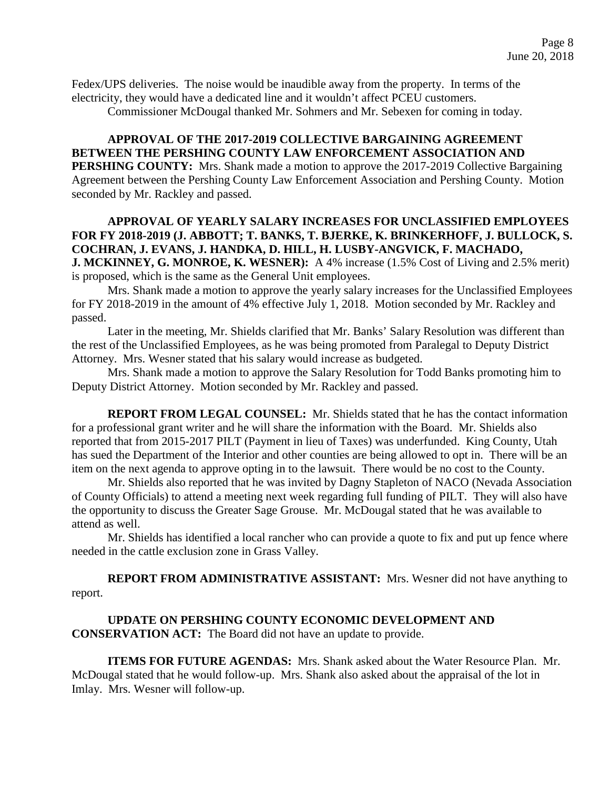Fedex/UPS deliveries. The noise would be inaudible away from the property. In terms of the electricity, they would have a dedicated line and it wouldn't affect PCEU customers.

Commissioner McDougal thanked Mr. Sohmers and Mr. Sebexen for coming in today.

### **APPROVAL OF THE 2017-2019 COLLECTIVE BARGAINING AGREEMENT BETWEEN THE PERSHING COUNTY LAW ENFORCEMENT ASSOCIATION AND PERSHING COUNTY:** Mrs. Shank made a motion to approve the 2017-2019 Collective Bargaining Agreement between the Pershing County Law Enforcement Association and Pershing County. Motion seconded by Mr. Rackley and passed.

## **APPROVAL OF YEARLY SALARY INCREASES FOR UNCLASSIFIED EMPLOYEES FOR FY 2018-2019 (J. ABBOTT; T. BANKS, T. BJERKE, K. BRINKERHOFF, J. BULLOCK, S. COCHRAN, J. EVANS, J. HANDKA, D. HILL, H. LUSBY-ANGVICK, F. MACHADO, J. MCKINNEY, G. MONROE, K. WESNER):** A 4% increase (1.5% Cost of Living and 2.5% merit)

is proposed, which is the same as the General Unit employees.

Mrs. Shank made a motion to approve the yearly salary increases for the Unclassified Employees for FY 2018-2019 in the amount of 4% effective July 1, 2018. Motion seconded by Mr. Rackley and passed.

Later in the meeting, Mr. Shields clarified that Mr. Banks' Salary Resolution was different than the rest of the Unclassified Employees, as he was being promoted from Paralegal to Deputy District Attorney. Mrs. Wesner stated that his salary would increase as budgeted.

Mrs. Shank made a motion to approve the Salary Resolution for Todd Banks promoting him to Deputy District Attorney. Motion seconded by Mr. Rackley and passed.

**REPORT FROM LEGAL COUNSEL:** Mr. Shields stated that he has the contact information for a professional grant writer and he will share the information with the Board. Mr. Shields also reported that from 2015-2017 PILT (Payment in lieu of Taxes) was underfunded. King County, Utah has sued the Department of the Interior and other counties are being allowed to opt in. There will be an item on the next agenda to approve opting in to the lawsuit. There would be no cost to the County.

Mr. Shields also reported that he was invited by Dagny Stapleton of NACO (Nevada Association of County Officials) to attend a meeting next week regarding full funding of PILT. They will also have the opportunity to discuss the Greater Sage Grouse. Mr. McDougal stated that he was available to attend as well.

Mr. Shields has identified a local rancher who can provide a quote to fix and put up fence where needed in the cattle exclusion zone in Grass Valley.

**REPORT FROM ADMINISTRATIVE ASSISTANT:** Mrs. Wesner did not have anything to report.

**UPDATE ON PERSHING COUNTY ECONOMIC DEVELOPMENT AND CONSERVATION ACT:** The Board did not have an update to provide.

**ITEMS FOR FUTURE AGENDAS:** Mrs. Shank asked about the Water Resource Plan. Mr. McDougal stated that he would follow-up. Mrs. Shank also asked about the appraisal of the lot in Imlay. Mrs. Wesner will follow-up.